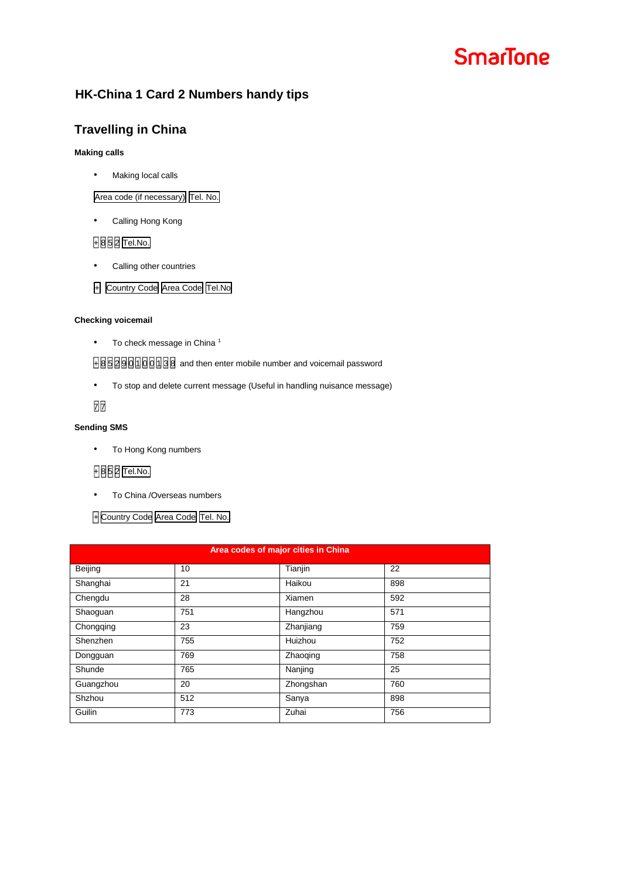# **SmarTone**

# **HK-China 1 Card 2 Numbers handy tips**

# **Travelling in China**

#### **Making calls**

• Making local calls

Area code (if necessary) Tel. No.

• Calling Hong Kong

## + 8 5 2 Tel.No.

• Calling other countries

## + Country Code Area Code Tel.No

#### **Checking voicemail**

• To check message in China<sup>1</sup>

H8 5 2 8 5 2 8 3 3 3 8 3 9 3 3 8 4 5 8 9 3 9 3 9 3 9 4 5 8 9 3 9 4 5 8 9 5 8 9 4 5 8 9 5 8 9 5 8 9 5 8 9 5 8 9 5 8 9 5 8 9 5 8 9 5 8 9 5 8 9 5 8 9 5 8 9 5 8 9 5 8 9 5 8 9 5 8 9 5 8 9 5 8 9 5 8 9 5 8 9 5 8 9 5 8 9 5 8 9 5 8

• To stop and delete current message (Useful in handling nuisance message)

# 7

#### **Sending SMS**

• To Hong Kong numbers

## **+ 8 5 2 Tel.No.**

• To China /Overseas numbers

## + Country Code Area Code Tel. No.

| Area codes of major cities in China |     |           |     |  |
|-------------------------------------|-----|-----------|-----|--|
| Beijing                             | 10  | Tianjin   | 22  |  |
| Shanghai                            | 21  | Haikou    | 898 |  |
| Chengdu                             | 28  | Xiamen    | 592 |  |
| Shaoguan                            | 751 | Hangzhou  | 571 |  |
| Chongqing                           | 23  | Zhanjiang | 759 |  |
| Shenzhen                            | 755 | Huizhou   | 752 |  |
| Dongguan                            | 769 | Zhaoging  | 758 |  |
| Shunde                              | 765 | Nanjing   | 25  |  |
| Guangzhou                           | 20  | Zhongshan | 760 |  |
| Shzhou                              | 512 | Sanya     | 898 |  |
| Guilin                              | 773 | Zuhai     | 756 |  |